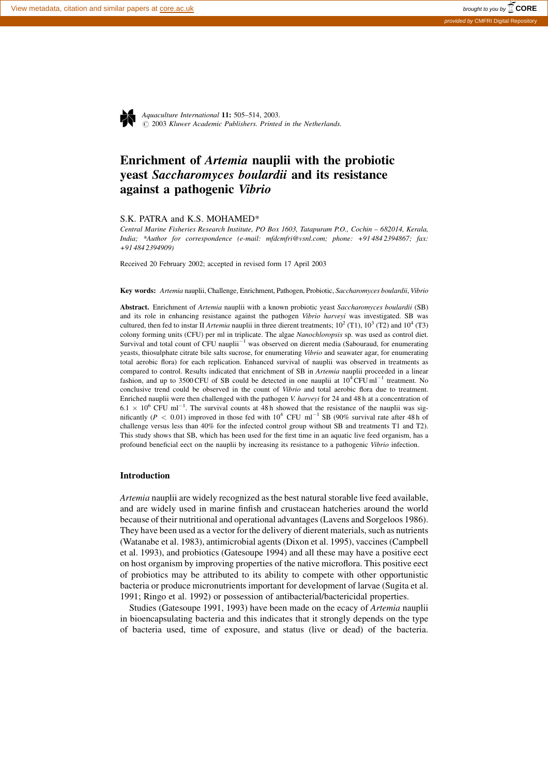$O$  2003 Kluwer Academic Publishers. Printed in the Netherlands. Aquaculture International **11**: 505–514, 2003.

# Enrichment of Artemia nauplii with the probiotic yeast Saccharomyces boulardii and its resistance against a pathogenic Vibrio

#### S.K. PATRA and K.S. MOHAMED\*

Central Marine Fisheries Research Institute, PO Box 1603, Tatapuram P.O., Cochin – 682014, Kerala, India; \*Author for correspondence (e-mail: mfdcmfri@vsnl.com; phone: +91 484 2394867; fax: +91 484 2394909)

Received 20 February 2002; accepted in revised form 17 April 2003

Key words: Artemia nauplii, Challenge, Enrichment, Pathogen, Probiotic, Saccharomyces boulardii, Vibrio

Abstract. Enrichment of Artemia nauplii with a known probiotic yeast Saccharomyces boulardii (SB) and its role in enhancing resistance against the pathogen Vibrio harveyi was investigated. SB was cultured, then fed to instar II Artemia nauplii in three dierent treatments;  $10^2$  (T1),  $10^3$  (T2) and  $10^4$  (T3) colony forming units (CFU) per ml in triplicate. The algae Nanochloropsis sp. was used as control diet. Survival and total count of CFU nauplii<sup>-1</sup> was observed on dierent media (Sabouraud, for enumerating yeasts, thiosulphate citrate bile salts sucrose, for enumerating Vibrio and seawater agar, for enumerating total aerobic flora) for each replication. Enhanced survival of nauplii was observed in treatments as compared to control. Results indicated that enrichment of SB in Artemia nauplii proceeded in a linear fashion, and up to 3500 CFU of SB could be detected in one nauplii at  $10^4$  CFU ml<sup>-1</sup> treatment. No conclusive trend could be observed in the count of Vibrio and total aerobic flora due to treatment. Enriched nauplii were then challenged with the pathogen V. harveyi for 24 and 48 h at a concentration of  $6.1 \times 10^6$  CFU ml<sup>-1</sup>. The survival counts at 48 h showed that the resistance of the nauplii was significantly ( $P < 0.01$ ) improved in those fed with  $10^4$  CFU ml<sup>-1</sup> SB (90% survival rate after 48 h of challenge versus less than 40% for the infected control group without SB and treatments T1 and T2). This study shows that SB, which has been used for the first time in an aquatic live feed organism, has a profound beneficial eect on the nauplii by increasing its resistance to a pathogenic Vibrio infection.

## Introduction

Artemia nauplii are widely recognized as the best natural storable live feed available, and are widely used in marine finfish and crustacean hatcheries around the world because of their nutritional and operational advantages (Lavens and Sorgeloos 1986). They have been used as a vector for the delivery of dierent materials, such as nutrients (Watanabe et al. 1983), antimicrobial agents (Dixon et al. 1995), vaccines (Campbell et al. 1993), and probiotics (Gatesoupe 1994) and all these may have a positive eect on host organism by improving properties of the native microflora. This positive eect of probiotics may be attributed to its ability to compete with other opportunistic bacteria or produce micronutrients important for development of larvae (Sugita et al. 1991; Ringo et al. 1992) or possession of antibacterial/bactericidal properties.

Studies (Gatesoupe 1991, 1993) have been made on the ecacy of Artemia nauplii in bioencapsulating bacteria and this indicates that it strongly depends on the type of bacteria used, time of exposure, and status (live or dead) of the bacteria.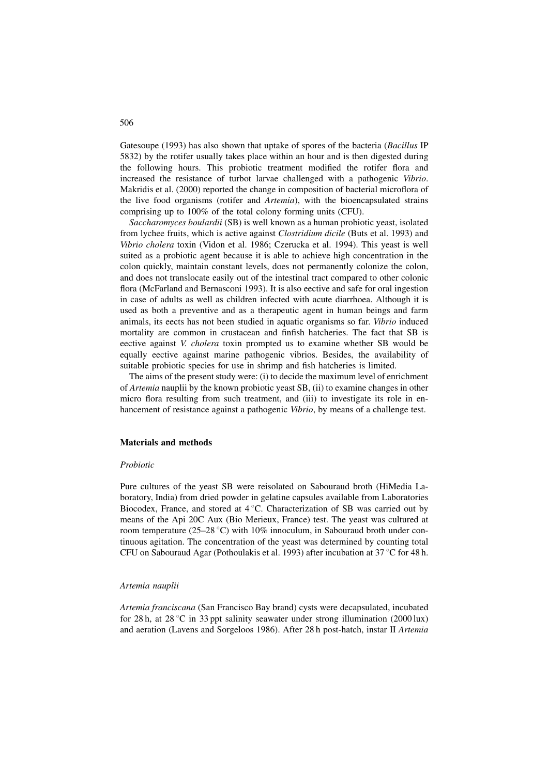Gatesoupe (1993) has also shown that uptake of spores of the bacteria (Bacillus IP 5832) by the rotifer usually takes place within an hour and is then digested during the following hours. This probiotic treatment modified the rotifer flora and increased the resistance of turbot larvae challenged with a pathogenic Vibrio. Makridis et al. (2000) reported the change in composition of bacterial microflora of the live food organisms (rotifer and *Artemia*), with the bioencapsulated strains comprising up to 100% of the total colony forming units (CFU).

Saccharomyces boulardii (SB) is well known as a human probiotic yeast, isolated from lychee fruits, which is active against *Clostridium dicile* (Buts et al. 1993) and Vibrio cholera toxin (Vidon et al. 1986; Czerucka et al. 1994). This yeast is well suited as a probiotic agent because it is able to achieve high concentration in the colon quickly, maintain constant levels, does not permanently colonize the colon, and does not translocate easily out of the intestinal tract compared to other colonic flora (McFarland and Bernasconi 1993). It is also eective and safe for oral ingestion in case of adults as well as children infected with acute diarrhoea. Although it is used as both a preventive and as a therapeutic agent in human beings and farm animals, its eects has not been studied in aquatic organisms so far. Vibrio induced mortality are common in crustacean and finfish hatcheries. The fact that SB is eective against V. cholera toxin prompted us to examine whether SB would be equally eective against marine pathogenic vibrios. Besides, the availability of suitable probiotic species for use in shrimp and fish hatcheries is limited.

The aims of the present study were: (i) to decide the maximum level of enrichment of Artemia nauplii by the known probiotic yeast SB, (ii) to examine changes in other micro flora resulting from such treatment, and (iii) to investigate its role in enhancement of resistance against a pathogenic Vibrio, by means of a challenge test.

#### Materials and methods

#### Probiotic

Pure cultures of the yeast SB were reisolated on Sabouraud broth (HiMedia Laboratory, India) from dried powder in gelatine capsules available from Laboratories Biocodex, France, and stored at  $4^{\circ}$ C. Characterization of SB was carried out by means of the Api 20C Aux (Bio Merieux, France) test. The yeast was cultured at room temperature (25–28 °C) with 10% innoculum, in Sabouraud broth under continuous agitation. The concentration of the yeast was determined by counting total CFU on Sabouraud Agar (Pothoulakis et al. 1993) after incubation at  $37^{\circ}$ C for 48 h.

#### Artemia nauplii

Artemia franciscana (San Francisco Bay brand) cysts were decapsulated, incubated for 28 h, at 28 °C in 33 ppt salinity seawater under strong illumination (2000 lux) and aeration (Lavens and Sorgeloos 1986). After 28 h post-hatch, instar II Artemia

506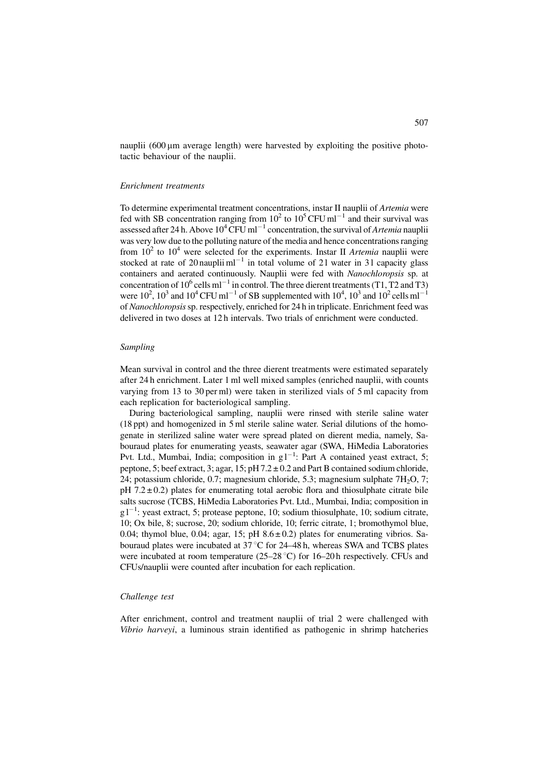nauplii  $(600 \,\mu m)$  average length) were harvested by exploiting the positive phototactic behaviour of the nauplii.

#### Enrichment treatments

To determine experimental treatment concentrations, instar II nauplii of Artemia were fed with SB concentration ranging from  $10^2$  to  $10^5$  CFU ml<sup>-1</sup> and their survival was assessed after 24 h. Above  $10^4$  CFU ml<sup>-1</sup> concentration, the survival of *Artemia* nauplii was very low due to the polluting nature of the media and hence concentrations ranging from  $10^2$  to  $10^4$  were selected for the experiments. Instar II Artemia nauplii were stocked at rate of 20 nauplii m $l^{-1}$  in total volume of 21 water in 31 capacity glass containers and aerated continuously. Nauplii were fed with Nanochloropsis sp. at concentration of  $10^6$  cells ml<sup>-1</sup> in control. The three dierent treatments (T1, T2 and T3) were  $10^2$ ,  $10^3$  and  $10^4$  CFU ml<sup>-1</sup> of SB supplemented with  $10^4$ ,  $10^3$  and  $10^2$  cells ml<sup>-1</sup> of Nanochloropsissp. respectively, enriched for 24 h in triplicate. Enrichment feed was delivered in two doses at 12 h intervals. Two trials of enrichment were conducted.

# Sampling

Mean survival in control and the three dierent treatments were estimated separately after 24 h enrichment. Later 1 ml well mixed samples (enriched nauplii, with counts varying from 13 to 30 per ml) were taken in sterilized vials of 5 ml capacity from each replication for bacteriological sampling.

During bacteriological sampling, nauplii were rinsed with sterile saline water (18 ppt) and homogenized in 5 ml sterile saline water. Serial dilutions of the homogenate in sterilized saline water were spread plated on dierent media, namely, Sabouraud plates for enumerating yeasts, seawater agar (SWA, HiMedia Laboratories Pvt. Ltd., Mumbai, India; composition in  $gl^{-1}$ : Part A contained yeast extract, 5; peptone, 5; beef extract, 3; agar, 15; pH 7.2 ± 0.2 and Part B contained sodium chloride, 24; potassium chloride, 0.7; magnesium chloride, 5.3; magnesium sulphate  $7H<sub>2</sub>O$ , 7;  $pH$  7.2  $\pm$  0.2) plates for enumerating total aerobic flora and thiosulphate citrate bile salts sucrose (TCBS, HiMedia Laboratories Pvt. Ltd., Mumbai, India; composition in  $g1^{-1}$ : yeast extract, 5; protease peptone, 10; sodium thiosulphate, 10; sodium citrate, 10; Ox bile, 8; sucrose, 20; sodium chloride, 10; ferric citrate, 1; bromothymol blue, 0.04; thymol blue, 0.04; agar, 15; pH  $8.6 \pm 0.2$ ) plates for enumerating vibrios. Sabouraud plates were incubated at  $37^{\circ}$ C for 24–48 h, whereas SWA and TCBS plates were incubated at room temperature (25–28 °C) for 16–20 h respectively. CFUs and CFUs/nauplii were counted after incubation for each replication.

#### Challenge test

After enrichment, control and treatment nauplii of trial 2 were challenged with Vibrio harveyi, a luminous strain identified as pathogenic in shrimp hatcheries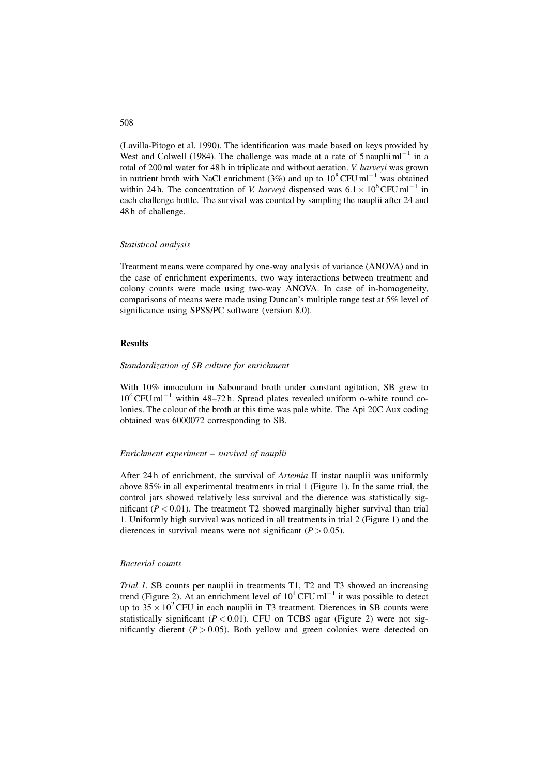(Lavilla-Pitogo et al. 1990). The identification was made based on keys provided by West and Colwell (1984). The challenge was made at a rate of  $5$  nauplii ml<sup>-1</sup> in a total of 200 ml water for 48 h in triplicate and without aeration. V. harveyi was grown in nutrient broth with NaCl enrichment (3%) and up to  $10^8$  CFU ml<sup>-1</sup> was obtained within 24 h. The concentration of *V. harveyi* dispensed was  $6.1 \times 10^6$  CFU ml<sup>-1</sup> in each challenge bottle. The survival was counted by sampling the nauplii after 24 and 48 h of challenge.

#### Statistical analysis

Treatment means were compared by one-way analysis of variance (ANOVA) and in the case of enrichment experiments, two way interactions between treatment and colony counts were made using two-way ANOVA. In case of in-homogeneity, comparisons of means were made using Duncan's multiple range test at 5% level of significance using SPSS/PC software (version 8.0).

#### **Results**

#### Standardization of SB culture for enrichment

With 10% innoculum in Sabouraud broth under constant agitation, SB grew to  $10^6$  CFU ml<sup>-1</sup> within 48–72 h. Spread plates revealed uniform o-white round colonies. The colour of the broth at this time was pale white. The Api 20C Aux coding obtained was 6000072 corresponding to SB.

# Enrichment experiment – survival of nauplii

After 24 h of enrichment, the survival of Artemia II instar nauplii was uniformly above 85% in all experimental treatments in trial 1 (Figure 1). In the same trial, the control jars showed relatively less survival and the dierence was statistically significant ( $P < 0.01$ ). The treatment T2 showed marginally higher survival than trial 1. Uniformly high survival was noticed in all treatments in trial 2 (Figure 1) and the dierences in survival means were not significant  $(P > 0.05)$ .

# Bacterial counts

Trial 1. SB counts per nauplii in treatments T1, T2 and T3 showed an increasing trend (Figure 2). At an enrichment level of  $10^4$  CFU ml<sup>-1</sup> it was possible to detect up to  $35 \times 10^2$  CFU in each nauplii in T3 treatment. Dierences in SB counts were statistically significant ( $P < 0.01$ ). CFU on TCBS agar (Figure 2) were not significantly dierent ( $P > 0.05$ ). Both yellow and green colonies were detected on

# 508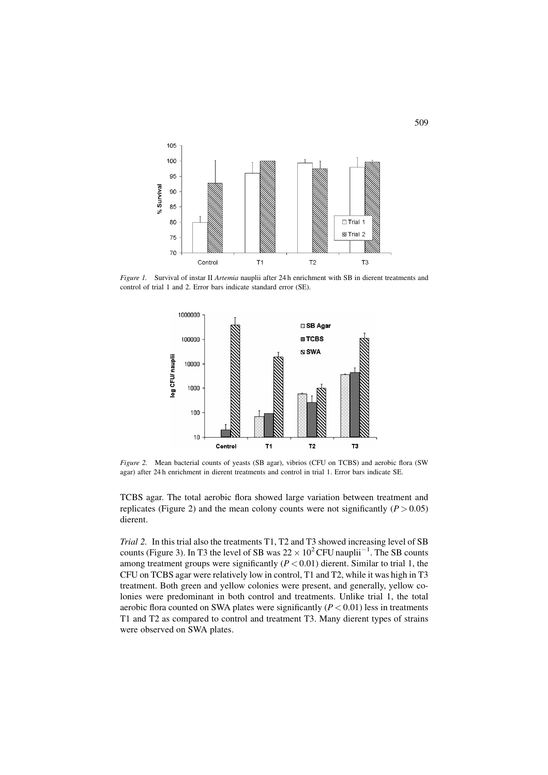

Figure 1. Survival of instar II Artemia nauplii after 24 h enrichment with SB in dierent treatments and control of trial 1 and 2. Error bars indicate standard error (SE).



Figure 2. Mean bacterial counts of yeasts (SB agar), vibrios (CFU on TCBS) and aerobic flora (SW agar) after 24 h enrichment in dierent treatments and control in trial 1. Error bars indicate SE.

TCBS agar. The total aerobic flora showed large variation between treatment and replicates (Figure 2) and the mean colony counts were not significantly ( $P > 0.05$ ) dierent.

Trial 2. In this trial also the treatments T1, T2 and T3 showed increasing level of SB counts (Figure 3). In T3 the level of SB was  $22 \times 10^2$  CFU nauplii<sup>-1</sup>. The SB counts among treatment groups were significantly  $(P < 0.01)$  dierent. Similar to trial 1, the CFU on TCBS agar were relatively low in control, T1 and T2, while it was high in T3 treatment. Both green and yellow colonies were present, and generally, yellow colonies were predominant in both control and treatments. Unlike trial 1, the total aerobic flora counted on SWA plates were significantly  $(P < 0.01)$  less in treatments T1 and T2 as compared to control and treatment T3. Many dierent types of strains were observed on SWA plates.

509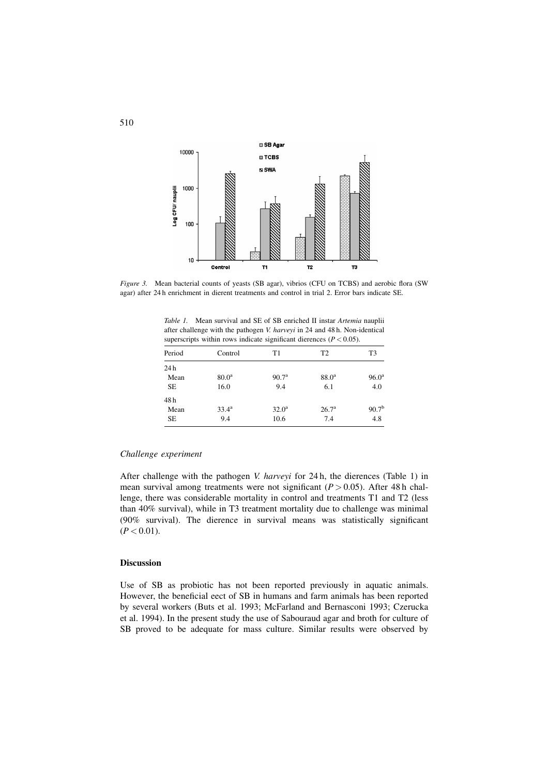

Figure 3. Mean bacterial counts of yeasts (SB agar), vibrios (CFU on TCBS) and aerobic flora (SW agar) after 24 h enrichment in dierent treatments and control in trial 2. Error bars indicate SE.

Table 1. Mean survival and SE of SB enriched II instar Artemia nauplii after challenge with the pathogen V. harveyi in 24 and 48 h. Non-identical superscripts within rows indicate significant dierences ( $P < 0.05$ ).

| Period | Control           | T1                | T <sub>2</sub>    | T <sub>3</sub>    |
|--------|-------------------|-------------------|-------------------|-------------------|
| 24h    |                   |                   |                   |                   |
| Mean   | 80.0 <sup>a</sup> | 90.7 <sup>a</sup> | 88.0 <sup>a</sup> | $96.0^{\rm a}$    |
| SE     | 16.0              | 9.4               | 6.1               | 4.0               |
| 48h    |                   |                   |                   |                   |
| Mean   | $33.4^{\rm a}$    | $32.0^{\rm a}$    | 26.7 <sup>a</sup> | 90.7 <sup>b</sup> |
| SE     | 9.4               | 10.6              | 7.4               | 4.8               |

# Challenge experiment

After challenge with the pathogen V. harveyi for 24 h, the dierences (Table 1) in mean survival among treatments were not significant ( $P > 0.05$ ). After 48 h challenge, there was considerable mortality in control and treatments T1 and T2 (less than 40% survival), while in T3 treatment mortality due to challenge was minimal (90% survival). The dierence in survival means was statistically significant  $(P < 0.01)$ .

# Discussion

Use of SB as probiotic has not been reported previously in aquatic animals. However, the beneficial eect of SB in humans and farm animals has been reported by several workers (Buts et al. 1993; McFarland and Bernasconi 1993; Czerucka et al. 1994). In the present study the use of Sabouraud agar and broth for culture of SB proved to be adequate for mass culture. Similar results were observed by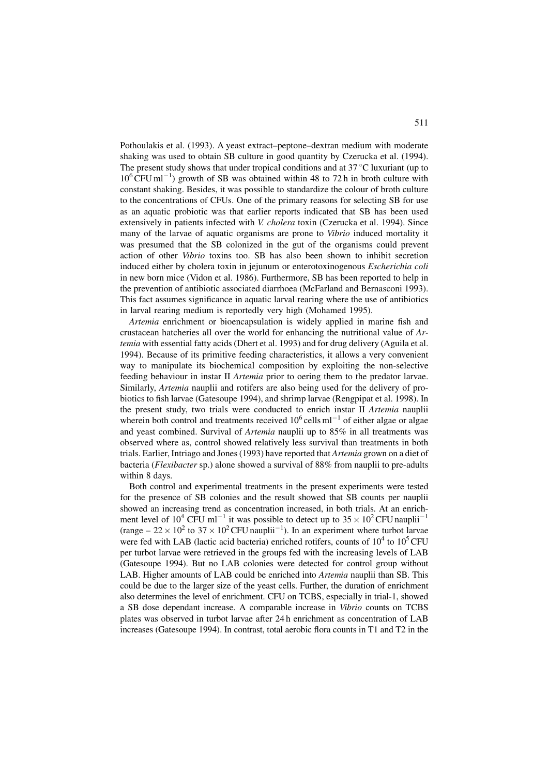Pothoulakis et al. (1993). A yeast extract–peptone–dextran medium with moderate shaking was used to obtain SB culture in good quantity by Czerucka et al. (1994). The present study shows that under tropical conditions and at  $37^{\circ}$ C luxuriant (up to  $10^6$  CFU ml<sup>-1</sup>) growth of SB was obtained within 48 to 72 h in broth culture with constant shaking. Besides, it was possible to standardize the colour of broth culture to the concentrations of CFUs. One of the primary reasons for selecting SB for use as an aquatic probiotic was that earlier reports indicated that SB has been used extensively in patients infected with V. cholera toxin (Czerucka et al. 1994). Since many of the larvae of aquatic organisms are prone to Vibrio induced mortality it was presumed that the SB colonized in the gut of the organisms could prevent action of other Vibrio toxins too. SB has also been shown to inhibit secretion induced either by cholera toxin in jejunum or enterotoxinogenous Escherichia coli in new born mice (Vidon et al. 1986). Furthermore, SB has been reported to help in the prevention of antibiotic associated diarrhoea (McFarland and Bernasconi 1993). This fact assumes significance in aquatic larval rearing where the use of antibiotics in larval rearing medium is reportedly very high (Mohamed 1995).

Artemia enrichment or bioencapsulation is widely applied in marine fish and crustacean hatcheries all over the world for enhancing the nutritional value of Artemia with essential fatty acids (Dhert et al. 1993) and for drug delivery (Aguila et al. 1994). Because of its primitive feeding characteristics, it allows a very convenient way to manipulate its biochemical composition by exploiting the non-selective feeding behaviour in instar II Artemia prior to oering them to the predator larvae. Similarly, Artemia nauplii and rotifers are also being used for the delivery of probiotics to fish larvae (Gatesoupe 1994), and shrimp larvae (Rengpipat et al. 1998). In the present study, two trials were conducted to enrich instar II Artemia nauplii wherein both control and treatments received  $10^6$  cells m $^{-1}$  of either algae or algae and yeast combined. Survival of Artemia nauplii up to 85% in all treatments was observed where as, control showed relatively less survival than treatments in both trials. Earlier, Intriago and Jones (1993) have reported that *Artemia* grown on a diet of bacteria (Flexibacter sp.) alone showed a survival of 88% from nauplii to pre-adults within 8 days.

Both control and experimental treatments in the present experiments were tested for the presence of SB colonies and the result showed that SB counts per nauplii showed an increasing trend as concentration increased, in both trials. At an enrichment level of 10<sup>4</sup> CFU ml<sup>-1</sup> it was possible to detect up to  $35 \times 10^2$  CFU nauplii<sup>-1</sup> (range  $-22 \times 10^2$  to  $37 \times 10^2$  CFU nauplii<sup>-1</sup>). In an experiment where turbot larvae were fed with LAB (lactic acid bacteria) enriched rotifers, counts of  $10^4$  to  $10^5$  CFU per turbot larvae were retrieved in the groups fed with the increasing levels of LAB (Gatesoupe 1994). But no LAB colonies were detected for control group without LAB. Higher amounts of LAB could be enriched into Artemia nauplii than SB. This could be due to the larger size of the yeast cells. Further, the duration of enrichment also determines the level of enrichment. CFU on TCBS, especially in trial-1, showed a SB dose dependant increase. A comparable increase in Vibrio counts on TCBS plates was observed in turbot larvae after 24 h enrichment as concentration of LAB increases (Gatesoupe 1994). In contrast, total aerobic flora counts in T1 and T2 in the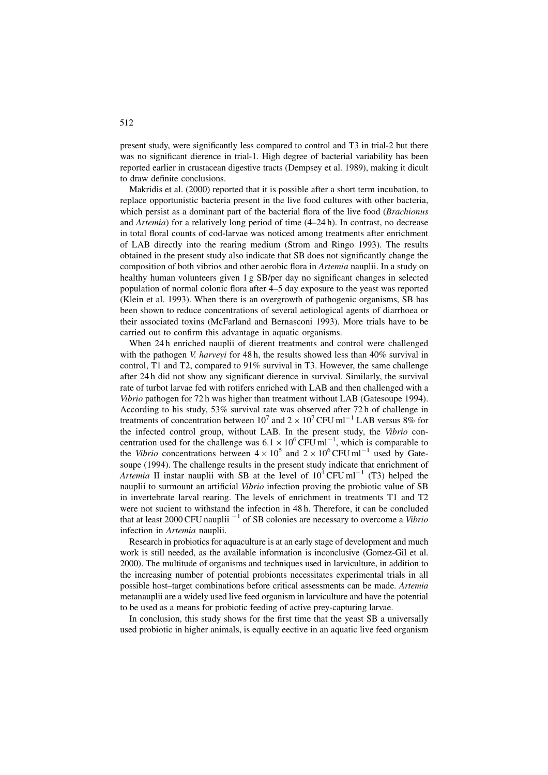present study, were significantly less compared to control and T3 in trial-2 but there was no significant dierence in trial-1. High degree of bacterial variability has been reported earlier in crustacean digestive tracts (Dempsey et al. 1989), making it dicult to draw definite conclusions.

Makridis et al. (2000) reported that it is possible after a short term incubation, to replace opportunistic bacteria present in the live food cultures with other bacteria, which persist as a dominant part of the bacterial flora of the live food (Brachionus and Artemia) for a relatively long period of time (4–24 h). In contrast, no decrease in total floral counts of cod-larvae was noticed among treatments after enrichment of LAB directly into the rearing medium (Strom and Ringo 1993). The results obtained in the present study also indicate that SB does not significantly change the composition of both vibrios and other aerobic flora in Artemia nauplii. In a study on healthy human volunteers given 1 g SB/per day no significant changes in selected population of normal colonic flora after 4–5 day exposure to the yeast was reported (Klein et al. 1993). When there is an overgrowth of pathogenic organisms, SB has been shown to reduce concentrations of several aetiological agents of diarrhoea or their associated toxins (McFarland and Bernasconi 1993). More trials have to be carried out to confirm this advantage in aquatic organisms.

When 24 h enriched nauplii of dierent treatments and control were challenged with the pathogen V. harveyi for 48 h, the results showed less than 40% survival in control, T1 and T2, compared to 91% survival in T3. However, the same challenge after 24 h did not show any significant dierence in survival. Similarly, the survival rate of turbot larvae fed with rotifers enriched with LAB and then challenged with a Vibrio pathogen for 72 h was higher than treatment without LAB (Gatesoupe 1994). According to his study, 53% survival rate was observed after 72 h of challenge in treatments of concentration between  $10^7$  and  $2 \times 10^7$  CFU ml<sup>-1</sup> LAB versus 8% for the infected control group, without LAB. In the present study, the Vibrio concentration used for the challenge was  $6.1 \times 10^6$  CFU ml<sup>-1</sup>, which is comparable to the Vibrio concentrations between  $4 \times 10^5$  and  $2 \times 10^6$  CFU ml<sup>-1</sup> used by Gatesoupe (1994). The challenge results in the present study indicate that enrichment of Artemia II instar nauplii with SB at the level of  $10^4$ CFU ml<sup>-1</sup> (T3) helped the nauplii to surmount an artificial Vibrio infection proving the probiotic value of SB in invertebrate larval rearing. The levels of enrichment in treatments T1 and T2 were not sucient to withstand the infection in 48 h. Therefore, it can be concluded that at least 2000 CFU nauplii<sup> $-1$ </sup> of SB colonies are necessary to overcome a *Vibrio* infection in Artemia nauplii.

Research in probiotics for aquaculture is at an early stage of development and much work is still needed, as the available information is inconclusive (Gomez-Gil et al. 2000). The multitude of organisms and techniques used in larviculture, in addition to the increasing number of potential probionts necessitates experimental trials in all possible host–target combinations before critical assessments can be made. Artemia metanauplii are a widely used live feed organism in larviculture and have the potential to be used as a means for probiotic feeding of active prey-capturing larvae.

In conclusion, this study shows for the first time that the yeast SB a universally used probiotic in higher animals, is equally eective in an aquatic live feed organism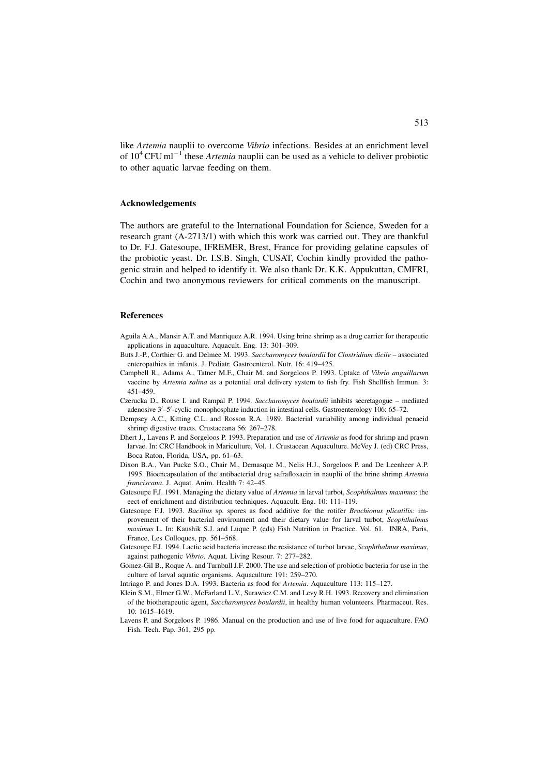like Artemia nauplii to overcome Vibrio infections. Besides at an enrichment level of  $10^4$  CFU ml<sup>-1</sup> these *Artemia* nauplii can be used as a vehicle to deliver probiotic to other aquatic larvae feeding on them.

#### Acknowledgements

The authors are grateful to the International Foundation for Science, Sweden for a research grant (A-2713/1) with which this work was carried out. They are thankful to Dr. F.J. Gatesoupe, IFREMER, Brest, France for providing gelatine capsules of the probiotic yeast. Dr. I.S.B. Singh, CUSAT, Cochin kindly provided the pathogenic strain and helped to identify it. We also thank Dr. K.K. Appukuttan, CMFRI, Cochin and two anonymous reviewers for critical comments on the manuscript.

# References

- Aguila A.A., Mansir A.T. and Manriquez A.R. 1994. Using brine shrimp as a drug carrier for therapeutic applications in aquaculture. Aquacult. Eng. 13: 301–309.
- Buts J.-P., Corthier G. and Delmee M. 1993. Saccharomyces boulardii for Clostridium dicile associated enteropathies in infants. J. Pediatr. Gastroenterol. Nutr. 16: 419–425.
- Campbell R., Adams A., Tatner M.F., Chair M. and Sorgeloos P. 1993. Uptake of Vibrio anguillarum vaccine by Artemia salina as a potential oral delivery system to fish fry. Fish Shellfish Immun. 3: 451–459.
- Czerucka D., Rouse I. and Rampal P. 1994. Saccharomyces boulardii inhibits secretagogue mediated adenosive 3'-5'-cyclic monophosphate induction in intestinal cells. Gastroenterology 106: 65-72.
- Dempsey A.C., Kitting C.L. and Rosson R.A. 1989. Bacterial variability among individual penaeid shrimp digestive tracts. Crustaceana 56: 267–278.
- Dhert J., Lavens P. and Sorgeloos P. 1993. Preparation and use of Artemia as food for shrimp and prawn larvae. In: CRC Handbook in Mariculture, Vol. 1. Crustacean Aquaculture. McVey J. (ed) CRC Press, Boca Raton, Florida, USA, pp. 61–63.
- Dixon B.A., Van Pucke S.O., Chair M., Demasque M., Nelis H.J., Sorgeloos P. and De Leenheer A.P. 1995. Bioencapsulation of the antibacterial drug safrafloxacin in nauplii of the brine shrimp Artemia franciscana. J. Aquat. Anim. Health 7: 42–45.
- Gatesoupe F.J. 1991. Managing the dietary value of Artemia in larval turbot, Scophthalmus maximus: the eect of enrichment and distribution techniques. Aquacult. Eng. 10: 111–119.
- Gatesoupe F.J. 1993. *Bacillus* sp. spores as food additive for the rotifer *Brachionus plicatilis:* improvement of their bacterial environment and their dietary value for larval turbot, Scophthalmus maximus L. In: Kaushik S.J. and Luque P. (eds) Fish Nutrition in Practice. Vol. 61. INRA, Paris, France, Les Colloques, pp. 561–568.
- Gatesoupe F.J. 1994. Lactic acid bacteria increase the resistance of turbot larvae, Scophthalmus maximus, against pathogenic Vibrio. Aquat. Living Resour. 7: 277–282.
- Gomez-Gil B., Roque A. and Turnbull J.F. 2000. The use and selection of probiotic bacteria for use in the culture of larval aquatic organisms. Aquaculture 191: 259–270.
- Intriago P. and Jones D.A. 1993. Bacteria as food for Artemia. Aquaculture 113: 115–127.
- Klein S.M., Elmer G.W., McFarland L.V., Surawicz C.M. and Levy R.H. 1993. Recovery and elimination of the biotherapeutic agent, Saccharomyces boulardii, in healthy human volunteers. Pharmaceut. Res. 10: 1615–1619.
- Lavens P. and Sorgeloos P. 1986. Manual on the production and use of live food for aquaculture. FAO Fish. Tech. Pap. 361, 295 pp.